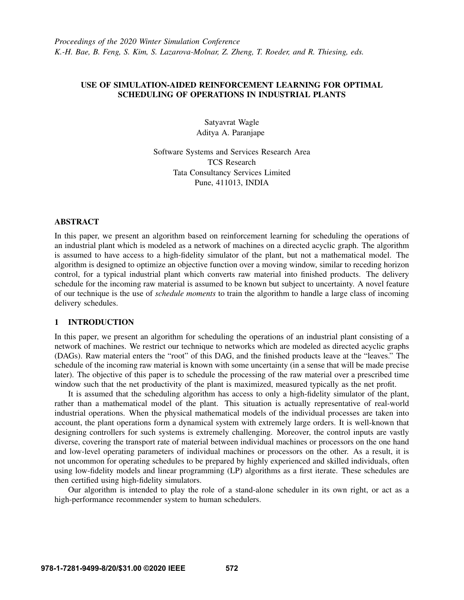# USE OF SIMULATION-AIDED REINFORCEMENT LEARNING FOR OPTIMAL SCHEDULING OF OPERATIONS IN INDUSTRIAL PLANTS

Satyavrat Wagle Aditya A. Paranjape

Software Systems and Services Research Area TCS Research Tata Consultancy Services Limited Pune, 411013, INDIA

# ABSTRACT

In this paper, we present an algorithm based on reinforcement learning for scheduling the operations of an industrial plant which is modeled as a network of machines on a directed acyclic graph. The algorithm is assumed to have access to a high-fidelity simulator of the plant, but not a mathematical model. The algorithm is designed to optimize an objective function over a moving window, similar to receding horizon control, for a typical industrial plant which converts raw material into finished products. The delivery schedule for the incoming raw material is assumed to be known but subject to uncertainty. A novel feature of our technique is the use of *schedule moments* to train the algorithm to handle a large class of incoming delivery schedules.

### 1 INTRODUCTION

In this paper, we present an algorithm for scheduling the operations of an industrial plant consisting of a network of machines. We restrict our technique to networks which are modeled as directed acyclic graphs (DAGs). Raw material enters the "root" of this DAG, and the finished products leave at the "leaves." The schedule of the incoming raw material is known with some uncertainty (in a sense that will be made precise later). The objective of this paper is to schedule the processing of the raw material over a prescribed time window such that the net productivity of the plant is maximized, measured typically as the net profit.

It is assumed that the scheduling algorithm has access to only a high-fidelity simulator of the plant, rather than a mathematical model of the plant. This situation is actually representative of real-world industrial operations. When the physical mathematical models of the individual processes are taken into account, the plant operations form a dynamical system with extremely large orders. It is well-known that designing controllers for such systems is extremely challenging. Moreover, the control inputs are vastly diverse, covering the transport rate of material between individual machines or processors on the one hand and low-level operating parameters of individual machines or processors on the other. As a result, it is not uncommon for operating schedules to be prepared by highly experienced and skilled individuals, often using low-fidelity models and linear programming (LP) algorithms as a first iterate. These schedules are then certified using high-fidelity simulators.

Our algorithm is intended to play the role of a stand-alone scheduler in its own right, or act as a high-performance recommender system to human schedulers.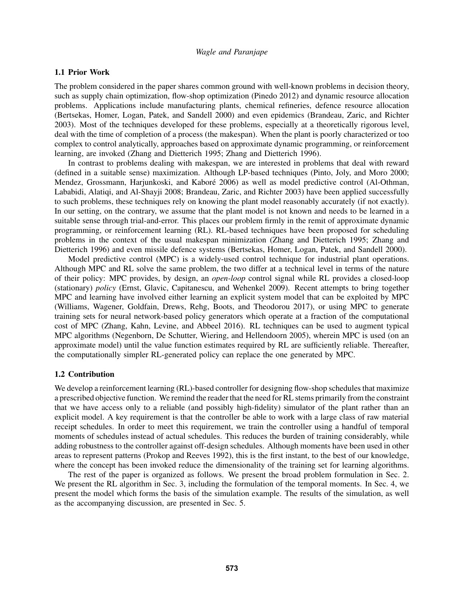## 1.1 Prior Work

The problem considered in the paper shares common ground with well-known problems in decision theory, such as supply chain optimization, flow-shop optimization [\(Pinedo 2012\)](#page-11-0) and dynamic resource allocation problems. Applications include manufacturing plants, chemical refineries, defence resource allocation [\(Bertsekas, Homer, Logan, Patek, and Sandell 2000\)](#page-11-1) and even epidemics [\(Brandeau, Zaric, and Richter](#page-11-2) [2003\)](#page-11-2). Most of the techniques developed for these problems, especially at a theoretically rigorous level, deal with the time of completion of a process (the makespan). When the plant is poorly characterized or too complex to control analytically, approaches based on approximate dynamic programming, or reinforcement learning, are invoked [\(Zhang and Dietterich 1995;](#page-11-3) [Zhang and Dietterich 1996\)](#page-11-4).

In contrast to problems dealing with makespan, we are interested in problems that deal with reward (defined in a suitable sense) maximization. Although LP-based techniques [\(Pinto, Joly, and Moro 2000;](#page-11-5) Mendez, Grossmann, Harjunkoski, and Kaboré 2006) as well as model predictive control [\(Al-Othman,](#page-11-7) [Lababidi, Alatiqi, and Al-Shayji 2008;](#page-11-7) [Brandeau, Zaric, and Richter 2003\)](#page-11-2) have been applied successfully to such problems, these techniques rely on knowing the plant model reasonably accurately (if not exactly). In our setting, on the contrary, we assume that the plant model is not known and needs to be learned in a suitable sense through trial-and-error. This places our problem firmly in the remit of approximate dynamic programming, or reinforcement learning (RL). RL-based techniques have been proposed for scheduling problems in the context of the usual makespan minimization [\(Zhang and Dietterich 1995;](#page-11-3) [Zhang and](#page-11-4) [Dietterich 1996\)](#page-11-4) and even missile defence systems [\(Bertsekas, Homer, Logan, Patek, and Sandell 2000\)](#page-11-1).

Model predictive control (MPC) is a widely-used control technique for industrial plant operations. Although MPC and RL solve the same problem, the two differ at a technical level in terms of the nature of their policy: MPC provides, by design, an *open-loop* control signal while RL provides a closed-loop (stationary) *policy* [\(Ernst, Glavic, Capitanescu, and Wehenkel 2009\)](#page-11-8). Recent attempts to bring together MPC and learning have involved either learning an explicit system model that can be exploited by MPC [\(Williams, Wagener, Goldfain, Drews, Rehg, Boots, and Theodorou 2017\)](#page-11-9), or using MPC to generate training sets for neural network-based policy generators which operate at a fraction of the computational cost of MPC [\(Zhang, Kahn, Levine, and Abbeel 2016\)](#page-11-10). RL techniques can be used to augment typical MPC algorithms [\(Negenborn, De Schutter, Wiering, and Hellendoorn 2005\)](#page-11-11), wherein MPC is used (on an approximate model) until the value function estimates required by RL are sufficiently reliable. Thereafter, the computationally simpler RL-generated policy can replace the one generated by MPC.

## 1.2 Contribution

We develop a reinforcement learning (RL)-based controller for designing flow-shop schedules that maximize a prescribed objective function. We remind the reader that the need for RL stems primarily from the constraint that we have access only to a reliable (and possibly high-fidelity) simulator of the plant rather than an explicit model. A key requirement is that the controller be able to work with a large class of raw material receipt schedules. In order to meet this requirement, we train the controller using a handful of temporal moments of schedules instead of actual schedules. This reduces the burden of training considerably, while adding robustness to the controller against off-design schedules. Although moments have been used in other areas to represent patterns [\(Prokop and Reeves 1992\)](#page-11-12), this is the first instant, to the best of our knowledge, where the concept has been invoked reduce the dimensionality of the training set for learning algorithms.

The rest of the paper is organized as follows. We present the broad problem formulation in Sec. 2. We present the RL algorithm in Sec. 3, including the formulation of the temporal moments. In Sec. 4, we present the model which forms the basis of the simulation example. The results of the simulation, as well as the accompanying discussion, are presented in Sec. 5.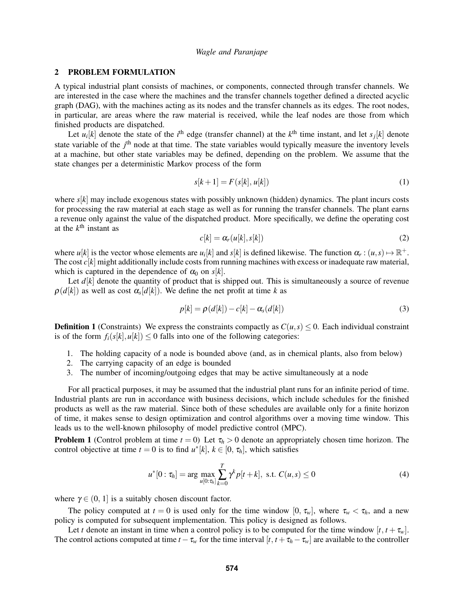## 2 PROBLEM FORMULATION

A typical industrial plant consists of machines, or components, connected through transfer channels. We are interested in the case where the machines and the transfer channels together defined a directed acyclic graph (DAG), with the machines acting as its nodes and the transfer channels as its edges. The root nodes, in particular, are areas where the raw material is received, while the leaf nodes are those from which finished products are dispatched.

Let  $u_i[k]$  denote the state of the *i*<sup>th</sup> edge (transfer channel) at the  $k^{\text{th}}$  time instant, and let  $s_j[k]$  denote state variable of the  $j<sup>th</sup>$  node at that time. The state variables would typically measure the inventory levels at a machine, but other state variables may be defined, depending on the problem. We assume that the state changes per a deterministic Markov process of the form

<span id="page-2-1"></span>
$$
s[k+1] = F(s[k], u[k])
$$
\n<sup>(1)</sup>

where *s*[*k*] may include exogenous states with possibly unknown (hidden) dynamics. The plant incurs costs for processing the raw material at each stage as well as for running the transfer channels. The plant earns a revenue only against the value of the dispatched product. More specifically, we define the operating cost at the  $k^{\text{th}}$  instant as

$$
c[k] = \alpha_r(u[k], s[k]) \tag{2}
$$

where  $u[k]$  is the vector whose elements are  $u_i[k]$  and  $s[k]$  is defined likewise. The function  $\alpha_r : (u, s) \mapsto \mathbb{R}^+$ . The cost  $c[k]$  might additionally include costs from running machines with excess or inadequate raw material, which is captured in the dependence of  $\alpha_0$  on  $s[k]$ .

Let  $d[k]$  denote the quantity of product that is shipped out. This is simultaneously a source of revenue  $\rho(d[k])$  as well as cost  $\alpha_s[d[k])$ . We define the net profit at time *k* as

$$
p[k] = \rho(d[k]) - c[k] - \alpha_s(d[k])
$$
\n(3)

**Definition 1** (Constraints) We express the constraints compactly as  $C(u, s) \le 0$ . Each individual constraint is of the form  $f_i(s[k], u[k]) \leq 0$  falls into one of the following categories:

- 1. The holding capacity of a node is bounded above (and, as in chemical plants, also from below)
- 2. The carrying capacity of an edge is bounded
- 3. The number of incoming/outgoing edges that may be active simultaneously at a node

For all practical purposes, it may be assumed that the industrial plant runs for an infinite period of time. Industrial plants are run in accordance with business decisions, which include schedules for the finished products as well as the raw material. Since both of these schedules are available only for a finite horizon of time, it makes sense to design optimization and control algorithms over a moving time window. This leads us to the well-known philosophy of model predictive control (MPC).

<span id="page-2-0"></span>**Problem 1** (Control problem at time  $t = 0$ ) Let  $\tau_h > 0$  denote an appropriately chosen time horizon. The control objective at time  $t = 0$  is to find  $u^*[k]$ ,  $k \in [0, \tau_h]$ , which satisfies

$$
u^*[0: \tau_h] = \arg \max_{u[0: \tau_h]} \sum_{k=0}^T \gamma^k p[t+k], \text{ s.t. } C(u,s) \le 0 \tag{4}
$$

where  $\gamma \in (0, 1]$  is a suitably chosen discount factor.

The policy computed at  $t = 0$  is used only for the time window  $[0, \tau_w]$ , where  $\tau_w < \tau_h$ , and a new policy is computed for subsequent implementation. This policy is designed as follows.

Let *t* denote an instant in time when a control policy is to be computed for the time window  $[t, t + \tau_w]$ . The control actions computed at time  $t - \tau_w$  for the time interval  $[t, t + \tau_h - \tau_w]$  are available to the controller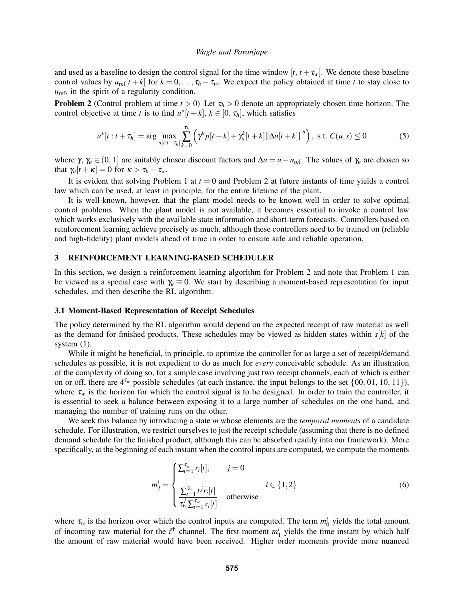and used as a baseline to design the control signal for the time window  $[t, t + \tau_w]$ . We denote these baseline control values by  $u_{ref}[t+k]$  for  $k = 0, \ldots, \tau_h - \tau_w$ . We expect the policy obtained at time *t* to stay close to  $u_{\text{ref}}$ , in the spirit of a regularity condition.

<span id="page-3-0"></span>**Problem 2** (Control problem at time  $t > 0$ ) Let  $\tau_h > 0$  denote an appropriately chosen time horizon. The control objective at time *t* is to find  $u^*[t+k]$ ,  $k \in [0, \tau_h]$ , which satisfies

$$
u^*[t:t+\tau_h] = \arg \max_{u[t:t+\tau_h]} \sum_{k=0}^{\tau_h} \left( \gamma^k p[t+k] + \gamma_u^k [t+k] ||\Delta u[t+k]||^2 \right), \text{ s.t. } C(u,s) \le 0 \tag{5}
$$

where  $\gamma$ ,  $\gamma_u \in (0, 1]$  are suitably chosen discount factors and  $\Delta u = u - u_{\text{ref}}$ . The values of  $\gamma_u$  are chosen so that  $\gamma_u[t + \kappa] = 0$  for  $\kappa > \tau_h - \tau_w$ .

It is evident that solving Problem [1](#page-2-0) at  $t = 0$  and Problem [2](#page-3-0) at future instants of time yields a control law which can be used, at least in principle, for the entire lifetime of the plant.

It is well-known, however, that the plant model needs to be known well in order to solve optimal control problems. When the plant model is not available, it becomes essential to invoke a control law which works exclusively with the available state information and short-term forecasts. Controllers based on reinforcement learning achieve precisely as much, although these controllers need to be trained on (reliable and high-fidelity) plant models ahead of time in order to ensure safe and reliable operation.

## 3 REINFORCEMENT LEARNING-BASED SCHEDULER

In this section, we design a reinforcement learning algorithm for Problem [2](#page-3-0) and note that Problem [1](#page-2-0) can be viewed as a special case with  $\gamma_u \equiv 0$ . We start by describing a moment-based representation for input schedules, and then describe the RL algorithm.

#### 3.1 Moment-Based Representation of Receipt Schedules

The policy determined by the RL algorithm would depend on the expected receipt of raw material as well as the demand for finished products. These schedules may be viewed as hidden states within *s*[*k*] of the system  $(1)$ .

While it might be beneficial, in principle, to optimize the controller for as large a set of receipt/demand schedules as possible, it is not expedient to do as much for *every* conceivable schedule. As an illustration of the complexity of doing so, for a simple case involving just two receipt channels, each of which is either on or off, there are 4τ*<sup>w</sup>* possible schedules (at each instance, the input belongs to the set {00, 01, 10, 11}), where  $\tau_w$  is the horizon for which the control signal is to be designed. In order to train the controller, it is essential to seek a balance between exposing it to a large number of schedules on the one hand, and managing the number of training runs on the other.

We seek this balance by introducing a state *m* whose elements are the *temporal moments* of a candidate schedule. For illustration, we restrict ourselves to just the receipt schedule (assuming that there is no defined demand schedule for the finished product, although this can be absorbed readily into our framework). More specifically, at the beginning of each instant when the control inputs are computed, we compute the moments

$$
m_j^i = \begin{cases} \sum_{t=1}^{\tau_w} r_i[t], & j = 0\\ \frac{\sum_{t=1}^{\tau_w} t^j r_i[t]}{\tau_w^j \sum_{t=1}^{\tau_w} r_i[t]} & \text{otherwise} \end{cases}
$$
(6)

where  $\tau_w$  is the horizon over which the control inputs are computed. The term  $m_0^i$  yields the total amount of incoming raw material for the  $i<sup>th</sup>$  channel. The first moment  $m<sup>i</sup><sub>1</sub>$  yields the time instant by which half the amount of raw material would have been received. Higher order moments provide more nuanced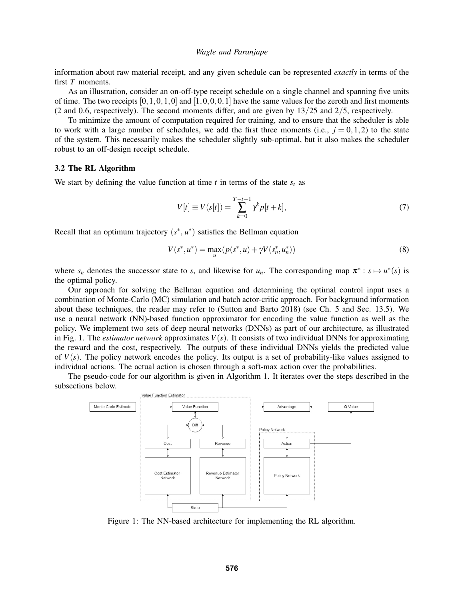information about raw material receipt, and any given schedule can be represented *exactly* in terms of the first *T* moments.

As an illustration, consider an on-off-type receipt schedule on a single channel and spanning five units of time. The two receipts  $[0,1,0,1,0]$  and  $[1,0,0,0,1]$  have the same values for the zeroth and first moments (2 and 0.6, respectively). The second moments differ, and are given by 13/25 and 2/5, respectively.

To minimize the amount of computation required for training, and to ensure that the scheduler is able to work with a large number of schedules, we add the first three moments (i.e.,  $j = 0, 1, 2$ ) to the state of the system. This necessarily makes the scheduler slightly sub-optimal, but it also makes the scheduler robust to an off-design receipt schedule.

## 3.2 The RL Algorithm

We start by defining the value function at time  $t$  in terms of the state  $s_t$  as

$$
V[t] \equiv V(s[t]) = \sum_{k=0}^{T-t-1} \gamma^k p[t+k],
$$
\n(7)

Recall that an optimum trajectory  $(s^*, u^*)$  satisfies the Bellman equation

$$
V(s^*, u^*) = \max_{u} (p(s^*, u) + \gamma V(s_n^*, u_n^*))
$$
\n(8)

where  $s_n$  denotes the successor state to *s*, and likewise for  $u_n$ . The corresponding map  $\pi^* : s \mapsto u^*(s)$  is the optimal policy.

Our approach for solving the Bellman equation and determining the optimal control input uses a combination of Monte-Carlo (MC) simulation and batch actor-critic approach. For background information about these techniques, the reader may refer to [\(Sutton and Barto 2018\)](#page-11-13) (see Ch. 5 and Sec. 13.5). We use a neural network (NN)-based function approximator for encoding the value function as well as the policy. We implement two sets of deep neural networks (DNNs) as part of our architecture, as illustrated in Fig. [1.](#page-4-0) The *estimator network* approximates  $V(s)$ . It consists of two individual DNNs for approximating the reward and the cost, respectively. The outputs of these individual DNNs yields the predicted value of  $V(s)$ . The policy network encodes the policy. Its output is a set of probability-like values assigned to individual actions. The actual action is chosen through a soft-max action over the probabilities.

<span id="page-4-0"></span>The pseudo-code for our algorithm is given in Algorithm [1.](#page-5-0) It iterates over the steps described in the subsections below.



Figure 1: The NN-based architecture for implementing the RL algorithm.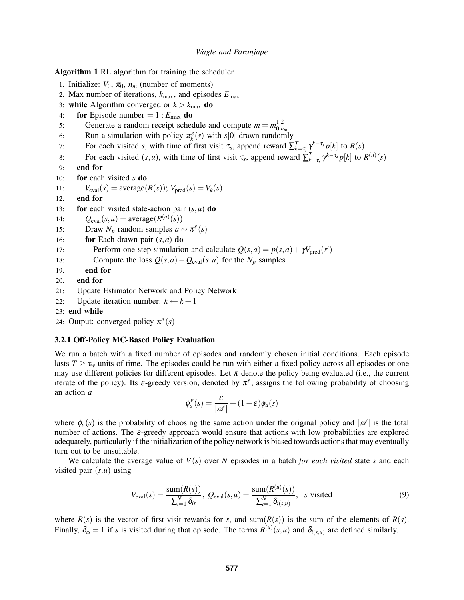<span id="page-5-0"></span>

| <b>Algorithm 1 RL</b> algorithm for training the scheduler |                                                                                                                                            |
|------------------------------------------------------------|--------------------------------------------------------------------------------------------------------------------------------------------|
|                                                            | 1: Initialize: $V_0$ , $\pi_0$ , $n_m$ (number of moments)                                                                                 |
|                                                            | 2: Max number of iterations, $k_{\text{max}}$ , and episodes $E_{\text{max}}$                                                              |
|                                                            | 3: while Algorithm converged or $k > k_{\text{max}}$ do                                                                                    |
| 4:                                                         | for Episode number = $1: E_{\text{max}}$ do                                                                                                |
| 5:                                                         | Generate a random receipt schedule and compute $m = m_{0 \cdot n}^{1,2}$                                                                   |
| 6:                                                         | Run a simulation with policy $\pi_k^{\varepsilon}(s)$ with s[0] drawn randomly                                                             |
| 7:                                                         | For each visited s, with time of first visit $\tau_s$ , append reward $\sum_{k=\tau_s}^{T} \gamma^{k-\tau_s} p[k]$ to $R(s)$               |
| 8:                                                         | For each visited $(s, u)$ , with time of first visit $\tau_s$ , append reward $\sum_{k=\tau_s}^{T} \gamma^{k-\tau_s} p[k]$ to $R^{(u)}(s)$ |
| 9:                                                         | end for                                                                                                                                    |
| 10:                                                        | for each visited s do                                                                                                                      |
| 11:                                                        | $V_{\text{eval}}(s) = \text{average}(R(s))$ ; $V_{\text{pred}}(s) = V_k(s)$                                                                |
| 12:                                                        | end for                                                                                                                                    |
| 13:                                                        | for each visited state-action pair $(s, u)$ do                                                                                             |
| 14:                                                        | $Q_{eval}(s, u) = average(R^{(u)}(s))$                                                                                                     |
| 15:                                                        | Draw $N_p$ random samples $a \sim \pi^{\varepsilon}(s)$                                                                                    |
| 16:                                                        | for Each drawn pair $(s, a)$ do                                                                                                            |
| 17:                                                        | Perform one-step simulation and calculate $Q(s, a) = p(s, a) + \gamma V_{\text{pred}}(s')$                                                 |
| 18:                                                        | Compute the loss $Q(s, a) - Q_{eval}(s, u)$ for the $N_p$ samples                                                                          |
| 19:                                                        | end for                                                                                                                                    |
| 20:                                                        | end for                                                                                                                                    |
| 21:                                                        | Update Estimator Network and Policy Network                                                                                                |
| 22:                                                        | Update iteration number: $k \leftarrow k + 1$                                                                                              |
|                                                            | 23: end while                                                                                                                              |

24: Output: converged policy  $\pi^*(s)$ 

### 3.2.1 Off-Policy MC-Based Policy Evaluation

We run a batch with a fixed number of episodes and randomly chosen initial conditions. Each episode lasts  $T \geq \tau_w$  units of time. The episodes could be run with either a fixed policy across all episodes or one may use different policies for different episodes. Let  $\pi$  denote the policy being evaluated (i.e., the current iterate of the policy). Its  $\varepsilon$ -greedy version, denoted by  $\pi^{\varepsilon}$ , assigns the following probability of choosing an action *a*

$$
\phi_a^{\varepsilon}(s) = \frac{\varepsilon}{|\mathscr{A}|} + (1 - \varepsilon)\phi_a(s)
$$

where  $\phi_a(s)$  is the probability of choosing the same action under the original policy and  $|\mathscr{A}|$  is the total number of actions. The  $\varepsilon$ -greedy approach would ensure that actions with low probabilities are explored adequately, particularly if the initialization of the policy network is biased towards actions that may eventually turn out to be unsuitable.

We calculate the average value of  $V(s)$  over *N* episodes in a batch *for each visited* state *s* and each visited pair (*s*.*u*) using

<span id="page-5-1"></span>
$$
V_{\text{eval}}(s) = \frac{\text{sum}(R(s))}{\sum_{i=1}^{N} \delta_{is}}, \ Q_{\text{eval}}(s, u) = \frac{\text{sum}(R^{(u)}(s))}{\sum_{i=1}^{N} \delta_{i(s, u)}}, \ \ \text{s visited}
$$
\n
$$
(9)
$$

where  $R(s)$  is the vector of first-visit rewards for *s*, and sum( $R(s)$ ) is the sum of the elements of  $R(s)$ . Finally,  $\delta_{is} = 1$  if *s* is visited during that episode. The terms  $R^{(u)}(s, u)$  and  $\delta_{i(s, u)}$  are defined similarly.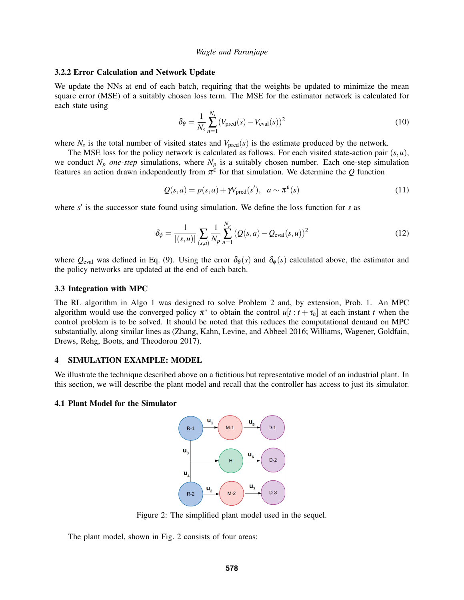### 3.2.2 Error Calculation and Network Update

We update the NNs at end of each batch, requiring that the weights be updated to minimize the mean square error (MSE) of a suitably chosen loss term. The MSE for the estimator network is calculated for each state using

$$
\delta_{\theta} = \frac{1}{N_s} \sum_{n=1}^{N_s} (V_{\text{pred}}(s) - V_{\text{eval}}(s))^2
$$
\n(10)

where  $N_s$  is the total number of visited states and  $V_{pred}(s)$  is the estimate produced by the network.

The MSE loss for the policy network is calculated as follows. For each visited state-action pair  $(s, u)$ , we conduct  $N_p$  *one-step* simulations, where  $N_p$  is a suitably chosen number. Each one-step simulation features an action drawn independently from  $\pi^{\epsilon}$  for that simulation. We determine the *Q* function

$$
Q(s,a) = p(s,a) + \gamma V_{\text{pred}}(s'), \quad a \sim \pi^{\varepsilon}(s)
$$
\n(11)

where  $s'$  is the successor state found using simulation. We define the loss function for  $s$  as

$$
\delta_{\phi} = \frac{1}{|(s,u)|} \sum_{(s,u)} \frac{1}{N_p} \sum_{n=1}^{N_p} (Q(s,a) - Q_{eval}(s,u))^2
$$
\n(12)

where  $Q_{\text{eval}}$  was defined in Eq. [\(9\)](#page-5-1). Using the error  $\delta_{\theta}(s)$  and  $\delta_{\phi}(s)$  calculated above, the estimator and the policy networks are updated at the end of each batch.

### 3.3 Integration with MPC

The RL algorithm in Algo [1](#page-5-0) was designed to solve Problem [2](#page-3-0) and, by extension, Prob. [1.](#page-2-0) An MPC algorithm would use the converged policy  $\pi^*$  to obtain the control  $u[t : t + \tau_h]$  at each instant *t* when the control problem is to be solved. It should be noted that this reduces the computational demand on MPC substantially, along similar lines as [\(Zhang, Kahn, Levine, and Abbeel 2016;](#page-11-10) [Williams, Wagener, Goldfain,](#page-11-9) [Drews, Rehg, Boots, and Theodorou 2017\)](#page-11-9).

#### 4 SIMULATION EXAMPLE: MODEL

We illustrate the technique described above on a fictitious but representative model of an industrial plant. In this section, we will describe the plant model and recall that the controller has access to just its simulator.

#### <span id="page-6-0"></span>4.1 Plant Model for the Simulator



Figure 2: The simplified plant model used in the sequel.

The plant model, shown in Fig. [2](#page-6-0) consists of four areas: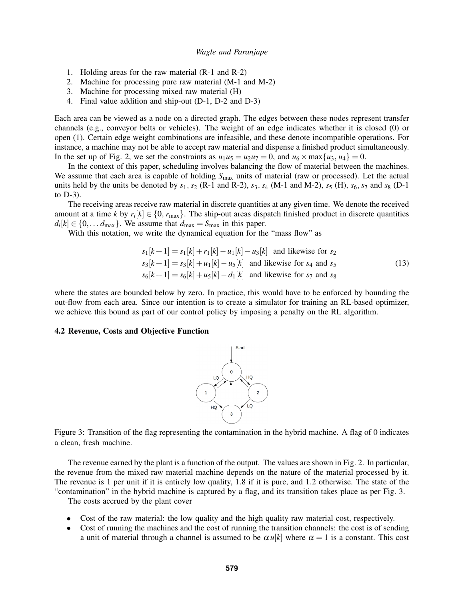- 1. Holding areas for the raw material (R-1 and R-2)
- 2. Machine for processing pure raw material (M-1 and M-2)
- 3. Machine for processing mixed raw material (H)
- 4. Final value addition and ship-out (D-1, D-2 and D-3)

Each area can be viewed as a node on a directed graph. The edges between these nodes represent transfer channels (e.g., conveyor belts or vehicles). The weight of an edge indicates whether it is closed (0) or open (1). Certain edge weight combinations are infeasible, and these denote incompatible operations. For instance, a machine may not be able to accept raw material and dispense a finished product simultaneously. In the set up of Fig. [2,](#page-6-0) we set the constraints as  $u_1u_5 = u_2u_7 = 0$ , and  $u_6 \times \max\{u_3, u_4\} = 0$ .

In the context of this paper, scheduling involves balancing the flow of material between the machines. We assume that each area is capable of holding  $S_{\text{max}}$  units of material (raw or processed). Let the actual units held by the units be denoted by  $s_1$ ,  $s_2$  (R-1 and R-2),  $s_3$ ,  $s_4$  (M-1 and M-2),  $s_5$  (H),  $s_6$ ,  $s_7$  and  $s_8$  (D-1 to D-3).

The receiving areas receive raw material in discrete quantities at any given time. We denote the received amount at a time *k* by  $r_i[k] \in \{0, r_{\text{max}}\}$ . The ship-out areas dispatch finished product in discrete quantities  $d_i[k] \in \{0, \dots d_{\text{max}}\}.$  We assume that  $d_{\text{max}} = S_{\text{max}}$  in this paper.

With this notation, we write the dynamical equation for the "mass flow" as

$$
s_1[k+1] = s_1[k] + r_1[k] - u_1[k] - u_3[k]
$$
 and likewise for  $s_2$   
\n
$$
s_3[k+1] = s_3[k] + u_1[k] - u_5[k]
$$
 and likewise for  $s_4$  and  $s_5$   
\n
$$
s_6[k+1] = s_6[k] + u_5[k] - d_1[k]
$$
 and likewise for  $s_7$  and  $s_8$  (13)

where the states are bounded below by zero. In practice, this would have to be enforced by bounding the out-flow from each area. Since our intention is to create a simulator for training an RL-based optimizer, we achieve this bound as part of our control policy by imposing a penalty on the RL algorithm.

#### <span id="page-7-0"></span>4.2 Revenue, Costs and Objective Function



Figure 3: Transition of the flag representing the contamination in the hybrid machine. A flag of 0 indicates a clean, fresh machine.

The revenue earned by the plant is a function of the output. The values are shown in Fig. [2.](#page-6-0) In particular, the revenue from the mixed raw material machine depends on the nature of the material processed by it. The revenue is 1 per unit if it is entirely low quality, 1.8 if it is pure, and 1.2 otherwise. The state of the "contamination" in the hybrid machine is captured by a flag, and its transition takes place as per Fig. [3.](#page-7-0)

The costs accrued by the plant cover

- Cost of the raw material: the low quality and the high quality raw material cost, respectively.
- Cost of running the machines and the cost of running the transition channels: the cost is of sending a unit of material through a channel is assumed to be  $\alpha u[k]$  where  $\alpha = 1$  is a constant. This cost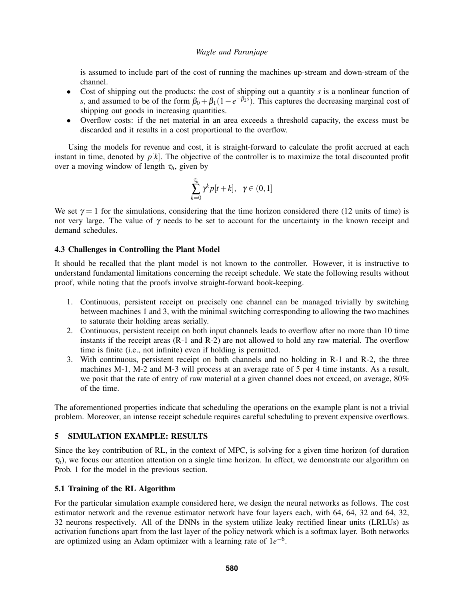is assumed to include part of the cost of running the machines up-stream and down-stream of the channel.

- Cost of shipping out the products: the cost of shipping out a quantity *s* is a nonlinear function of *s*, and assumed to be of the form  $\beta_0 + \beta_1(1 - e^{-\beta_2 s})$ . This captures the decreasing marginal cost of shipping out goods in increasing quantities.
- Overflow costs: if the net material in an area exceeds a threshold capacity, the excess must be discarded and it results in a cost proportional to the overflow.

Using the models for revenue and cost, it is straight-forward to calculate the profit accrued at each instant in time, denoted by  $p[k]$ . The objective of the controller is to maximize the total discounted profit over a moving window of length  $\tau_h$ , given by

$$
\sum_{k=0}^{\tau_h} \gamma^k p[t+k], \ \ \gamma \in (0,1]
$$

We set  $\gamma = 1$  for the simulations, considering that the time horizon considered there (12 units of time) is not very large. The value of  $\gamma$  needs to be set to account for the uncertainty in the known receipt and demand schedules.

## <span id="page-8-0"></span>4.3 Challenges in Controlling the Plant Model

It should be recalled that the plant model is not known to the controller. However, it is instructive to understand fundamental limitations concerning the receipt schedule. We state the following results without proof, while noting that the proofs involve straight-forward book-keeping.

- 1. Continuous, persistent receipt on precisely one channel can be managed trivially by switching between machines 1 and 3, with the minimal switching corresponding to allowing the two machines to saturate their holding areas serially.
- 2. Continuous, persistent receipt on both input channels leads to overflow after no more than 10 time instants if the receipt areas (R-1 and R-2) are not allowed to hold any raw material. The overflow time is finite (i.e., not infinite) even if holding is permitted.
- 3. With continuous, persistent receipt on both channels and no holding in R-1 and R-2, the three machines M-1, M-2 and M-3 will process at an average rate of 5 per 4 time instants. As a result, we posit that the rate of entry of raw material at a given channel does not exceed, on average, 80% of the time.

The aforementioned properties indicate that scheduling the operations on the example plant is not a trivial problem. Moreover, an intense receipt schedule requires careful scheduling to prevent expensive overflows.

## 5 SIMULATION EXAMPLE: RESULTS

Since the key contribution of RL, in the context of MPC, is solving for a given time horizon (of duration  $\tau_h$ ), we focus our attention attention on a single time horizon. In effect, we demonstrate our algorithm on Prob. [1](#page-2-0) for the model in the previous section.

## 5.1 Training of the RL Algorithm

For the particular simulation example considered here, we design the neural networks as follows. The cost estimator network and the revenue estimator network have four layers each, with 64, 64, 32 and 64, 32, 32 neurons respectively. All of the DNNs in the system utilize leaky rectified linear units (LRLUs) as activation functions apart from the last layer of the policy network which is a softmax layer. Both networks are optimized using an Adam optimizer with a learning rate of  $1e^{-6}$ .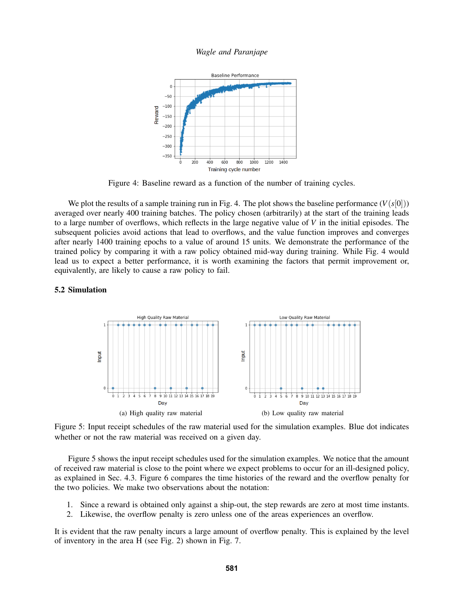<span id="page-9-0"></span>

Figure 4: Baseline reward as a function of the number of training cycles.

We plot the results of a sample training run in Fig. [4.](#page-9-0) The plot shows the baseline performance  $(V(s[0]))$ averaged over nearly 400 training batches. The policy chosen (arbitrarily) at the start of the training leads to a large number of overflows, which reflects in the large negative value of *V* in the initial episodes. The subsequent policies avoid actions that lead to overflows, and the value function improves and converges after nearly 1400 training epochs to a value of around 15 units. We demonstrate the performance of the trained policy by comparing it with a raw policy obtained mid-way during training. While Fig. [4](#page-9-0) would lead us to expect a better performance, it is worth examining the factors that permit improvement or, equivalently, are likely to cause a raw policy to fail.

## <span id="page-9-1"></span>5.2 Simulation



Figure 5: Input receipt schedules of the raw material used for the simulation examples. Blue dot indicates whether or not the raw material was received on a given day.

Figure [5](#page-9-1) shows the input receipt schedules used for the simulation examples. We notice that the amount of received raw material is close to the point where we expect problems to occur for an ill-designed policy, as explained in Sec. [4.3.](#page-8-0) Figure [6](#page-10-0) compares the time histories of the reward and the overflow penalty for the two policies. We make two observations about the notation:

- 1. Since a reward is obtained only against a ship-out, the step rewards are zero at most time instants.
- 2. Likewise, the overflow penalty is zero unless one of the areas experiences an overflow.

It is evident that the raw penalty incurs a large amount of overflow penalty. This is explained by the level of inventory in the area H (see Fig. [2\)](#page-6-0) shown in Fig. [7.](#page-10-1)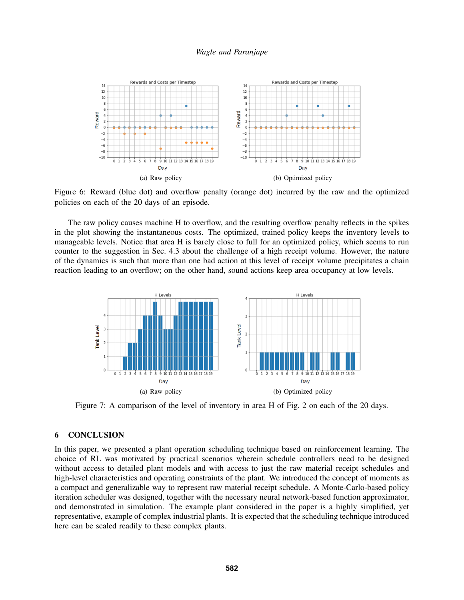<span id="page-10-0"></span>

Figure 6: Reward (blue dot) and overflow penalty (orange dot) incurred by the raw and the optimized policies on each of the 20 days of an episode.

The raw policy causes machine H to overflow, and the resulting overflow penalty reflects in the spikes in the plot showing the instantaneous costs. The optimized, trained policy keeps the inventory levels to manageable levels. Notice that area H is barely close to full for an optimized policy, which seems to run counter to the suggestion in Sec. [4.3](#page-8-0) about the challenge of a high receipt volume. However, the nature of the dynamics is such that more than one bad action at this level of receipt volume precipitates a chain reaction leading to an overflow; on the other hand, sound actions keep area occupancy at low levels.

<span id="page-10-1"></span>

Figure 7: A comparison of the level of inventory in area H of Fig. [2](#page-6-0) on each of the 20 days.

# 6 CONCLUSION

In this paper, we presented a plant operation scheduling technique based on reinforcement learning. The choice of RL was motivated by practical scenarios wherein schedule controllers need to be designed without access to detailed plant models and with access to just the raw material receipt schedules and high-level characteristics and operating constraints of the plant. We introduced the concept of moments as a compact and generalizable way to represent raw material receipt schedule. A Monte-Carlo-based policy iteration scheduler was designed, together with the necessary neural network-based function approximator, and demonstrated in simulation. The example plant considered in the paper is a highly simplified, yet representative, example of complex industrial plants. It is expected that the scheduling technique introduced here can be scaled readily to these complex plants.